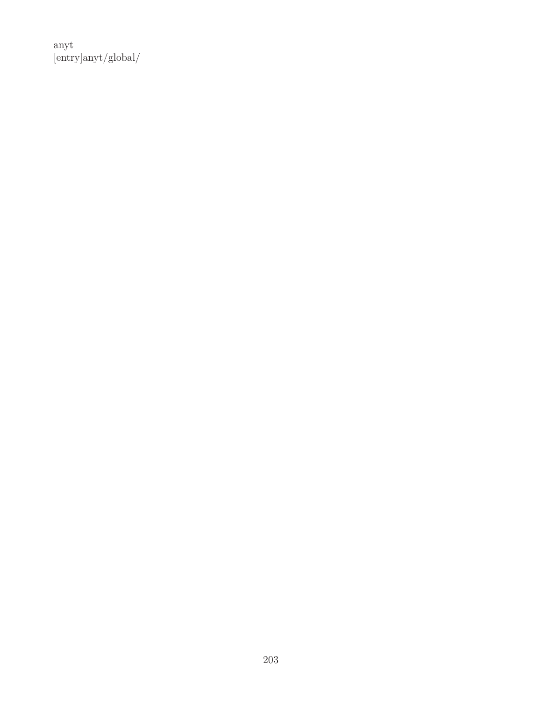anyt [entry]anyt/global/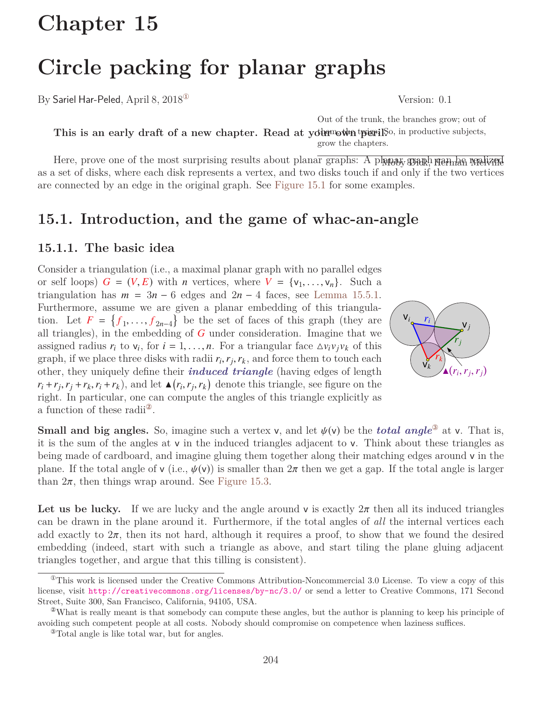# **Chapter 15**

# **Circle packing for planar graphs**

By Sariel Har-Peled, April 8, 2018<sup>®</sup> Version: 0.1

This is an early draft of a new chapter. Read at your own typeril, So, in productive subjects, Out of the trunk, the branches grow; out of grow the chapters.

Here, prove one of the most surprising results about planar graphs: A planar, graph graph and melized as a set of disks, where each disk represents a vertex, and two disks touch if and only if the two vertices are connected by an edge in the original graph. See [Figure 15.1](#page-2-0) for some examples.

# **15.1. Introduction, and the game of whac-an-angle**

### **15.1.1. The basic idea**

Consider a triangulation (i.e., a maximal planar graph with no parallel edges or self loops)  $G = (V, E)$  with *n* vertices, where  $V = \{v_1, \ldots, v_n\}$ . Such a triangulation has  $m = 3n - 6$  edges and  $2n - 4$  faces, see [Lemma 15.5.1.](#page-9-0) Furthermore, assume we are given a planar embedding of this triangulation. Let  $F = \{f_1, \ldots, f_{2n-4}\}$  be the set of faces of this graph (they are all triangles) in the embedding of G under consideration. Imagine that we all triangles), in the embedding of *G* under consideration. Imagine that we assigned radius  $r_i$  to  $v_i$ , for  $i = 1, ..., n$ . For a triangular face  $\Delta v_i v_j v_k$  of this graph if we place three disks with radii  $r_i$ ,  $r_j$  and force them to touch each graph, if we place three disks with radii  $r_i$ ,  $r_j$ ,  $r_k$ , and force them to touch each other they uniquely define their *induced triangle* (having edges of length other, they uniquely define their *induced triangle* (having edges of length  $r_i + r_j$ ,  $r_j + r_k$ ,  $r_i + r_k$ ), and let  $\triangle(r_i, r_j, r_k)$  denote this triangle, see figure on the right. In particular, one can compute the angles of this triangle explicitly as right. In particular, one can compute the angles of this triangle explicitly as a function of these radii[②](#page-1-1).



**Small and big angles.** So, imagine such a vertex v, and let  $\psi(\nu)$  be the *total angle*<sup>3</sup> at v. That is, it is the sum of the angles at v in the induced triangles adjacent to v. Think about these triangles as being made of cardboard, and imagine gluing them together along their matching edges around v in the plane. If the total angle of v (i.e.,  $\psi(\nu)$ ) is smaller than  $2\pi$  then we get a gap. If the total angle is larger than  $2\pi$ , then things wrap around. See [Figure 15.3.](#page-3-0)

Let us be lucky. If we are lucky and the angle around v is exactly  $2\pi$  then all its induced triangles can be drawn in the plane around it. Furthermore, if the total angles of *all* the internal vertices each add exactly to  $2\pi$ , then its not hard, although it requires a proof, to show that we found the desired embedding (indeed, start with such a triangle as above, and start tiling the plane gluing adjacent triangles together, and argue that this tilling is consistent).

<span id="page-1-0"></span> $^{\circ}$ This work is licensed under the Creative Commons Attribution-Noncommercial 3.0 License. To view a copy of this license, visit <http://creativecommons.org/licenses/by-nc/3.0/> or send a letter to Creative Commons, 171 Second Street, Suite 300, San Francisco, California, 94105, USA.

<span id="page-1-1"></span><sup>②</sup>What is really meant is that somebody can compute these angles, but the author is planning to keep his principle of avoiding such competent people at all costs. Nobody should compromise on competence when laziness suffices.

<span id="page-1-2"></span><sup>③</sup>Total angle is like total war, but for angles.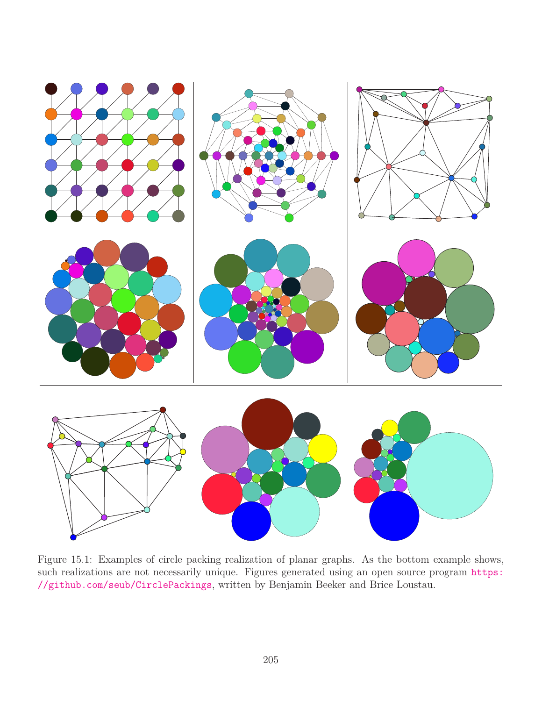<span id="page-2-0"></span>

Figure 15.1: Examples of circle packing realization of planar graphs. As the bottom example shows, such realizations are not necessarily unique. Figures generated using an open source program [https:](https://github.com/seub/CirclePackings) [//github.com/seub/CirclePackings](https://github.com/seub/CirclePackings), written by Benjamin Beeker and Brice Loustau.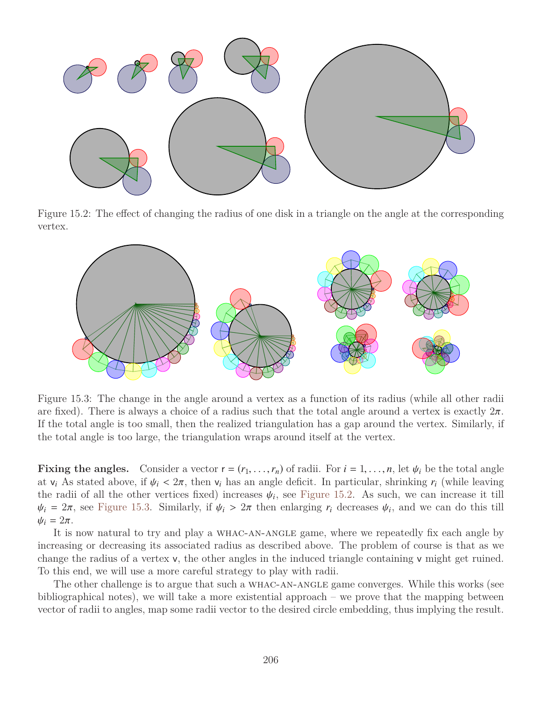<span id="page-3-1"></span>

Figure 15.2: The effect of changing the radius of one disk in a triangle on the angle at the corresponding vertex.

<span id="page-3-0"></span>

Figure 15.3: The change in the angle around a vertex as a function of its radius (while all other radii are fixed). There is always a choice of a radius such that the total angle around a vertex is exactly  $2\pi$ . If the total angle is too small, then the realized triangulation has a gap around the vertex. Similarly, if the total angle is too large, the triangulation wraps around itself at the vertex.

**Fixing the angles.** Consider a vector  $r = (r_1, \ldots, r_n)$  of radii. For  $i = 1, \ldots, n$ , let  $\psi_i$  be the total angle at  $v_i$  As stated above, if  $\psi_i < 2\pi$ , then  $v_i$  has an angle deficit. In particular, shrinking  $r_i$  (while leaving the radii of all the other vertices fixed) increases  $\psi_i$ , see [Figure 15.2.](#page-3-1) As such, we can increase it till<br> $\psi_i = 2\pi$  see Figure 15.3. Similarly if  $\psi_i > 2\pi$  then enlarging r. decreases  $\psi_i$ , and we can do this till  $\psi_i = 2\pi$ , see [Figure 15.3.](#page-3-0) Similarly, if  $\psi_i > 2\pi$  then enlarging  $r_i$  decreases  $\psi_i$ , and we can do this till  $\psi_i - 2\pi$  $\psi_i = 2\pi$ .

It is now natural to try and play a whac-an-angle game, where we repeatedly fix each angle by increasing or decreasing its associated radius as described above. The problem of course is that as we change the radius of a vertex v, the other angles in the induced triangle containing v might get ruined. To this end, we will use a more careful strategy to play with radii.

The other challenge is to argue that such a whac-an-angle game converges. While this works (see bibliographical notes), we will take a more existential approach – we prove that the mapping between vector of radii to angles, map some radii vector to the desired circle embedding, thus implying the result.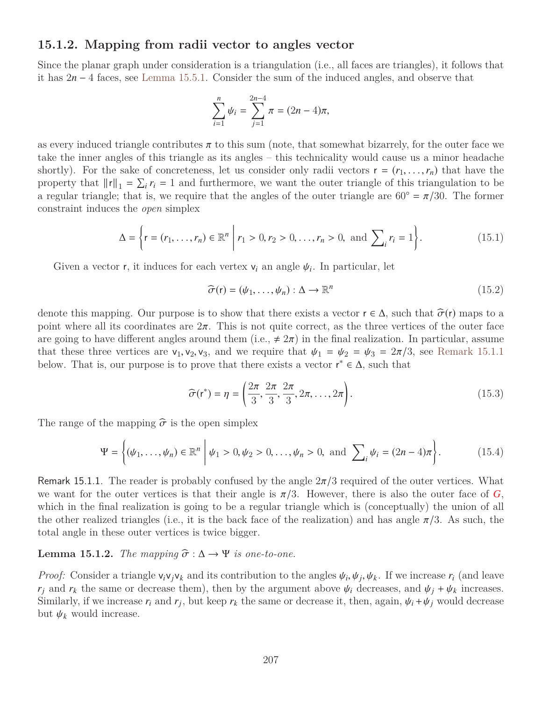#### **15.1.2. Mapping from radii vector to angles vector**

Since the planar graph under consideration is a triangulation (i.e., all faces are triangles), it follows that it has 2*n* − 4 faces, see [Lemma 15.5.1.](#page-9-0) Consider the sum of the induced angles, and observe that

$$
\sum_{i=1}^{n} \psi_i = \sum_{j=1}^{2n-4} \pi = (2n-4)\pi,
$$

as every induced triangle contributes  $\pi$  to this sum (note, that somewhat bizarrely, for the outer face we take the inner angles of this triangle as its angles – this technicality would cause us a minor headache shortly). For the sake of concreteness, let us consider only radii vectors  $r = (r_1, \ldots, r_n)$  that have the property that  $||r||_1 = \sum_i r_i = 1$  and furthermore, we want the outer triangle of this triangulation to be a regular triangle; that is, we require that the angles of the outer triangle are  $60^{\circ} = \pi/30$ . The former constraint induces the *open* simplex

$$
\Delta = \left\{ \mathbf{r} = (r_1, \dots, r_n) \in \mathbb{R}^n \; \middle| \; r_1 > 0, r_2 > 0, \dots, r_n > 0, \text{ and } \sum_i r_i = 1 \right\}. \tag{15.1}
$$

Given a vector **r**, it induces for each vertex  $v_i$  an angle  $\psi_i$ . In particular, let

<span id="page-4-4"></span><span id="page-4-1"></span>
$$
\widehat{\sigma}(\mathbf{r}) = (\psi_1, \dots, \psi_n) : \Delta \to \mathbb{R}^n
$$
\n(15.2)

denote this mapping. Our purpose is to show that there exists a vector  $r \in \Delta$ , such that  $\widehat{\sigma}(r)$  maps to a point where all its coordinates are  $2\pi$ . This is not quite correct, as the three vertices of the outer face are going to have different angles around them (i.e.,  $\neq 2\pi$ ) in the final realization. In particular, assume that these three vertices are  $v_1, v_2, v_3$ , and we require that  $\psi_1 = \psi_2 = \psi_3 = 2\pi/3$ , see [Remark 15.1.1](#page-4-0) below. That is, our purpose is to prove that there exists a vector  $r^* \in \Delta$ , such that

<span id="page-4-2"></span>
$$
\widehat{\sigma}(\mathbf{r}^*) = \eta = \left(\frac{2\pi}{3}, \frac{2\pi}{3}, \frac{2\pi}{3}, 2\pi, \dots, 2\pi\right). \tag{15.3}
$$

The range of the mapping  $\hat{\sigma}$  is the open simplex

$$
\Psi = \left\{ (\psi_1, \dots, \psi_n) \in \mathbb{R}^n \middle| \psi_1 > 0, \psi_2 > 0, \dots, \psi_n > 0, \text{ and } \sum_i \psi_i = (2n - 4)\pi \right\}.
$$
 (15.4)

<span id="page-4-0"></span>Remark 15.1.1. The reader is probably confused by the angle  $2\pi/3$  required of the outer vertices. What we want for the outer vertices is that their angle is  $\pi/3$ . However, there is also the outer face of *G*, which in the final realization is going to be a regular triangle which is (conceptually) the union of all the other realized triangles (i.e., it is the back face of the realization) and has angle  $\pi/3$ . As such, the total angle in these outer vertices is twice bigger.

#### <span id="page-4-3"></span>**Lemma 15.1.2.** *The mapping*  $\hat{\sigma} : \Delta \rightarrow \Psi$  *is one-to-one.*

*Proof:* Consider a triangle  $v_i v_j v_k$  and its contribution to the angles  $\psi_i$ ,  $\psi_j$ ,  $\psi_k$ . If we increase *r<sub>i</sub>* (and leave  $r_i$  and  $r_k$  the same or decrease them), then by the argument above  $\psi_i$  decreases, and  $\psi_i + \psi_k$  increases. Similarly, if we increase  $r_i$  and  $r_j$ , but keep  $r_k$  the same or decrease it, then, again,  $\psi_i + \psi_j$  would decrease but  $\psi_i$ , would increase but  $\psi_k$  would increase.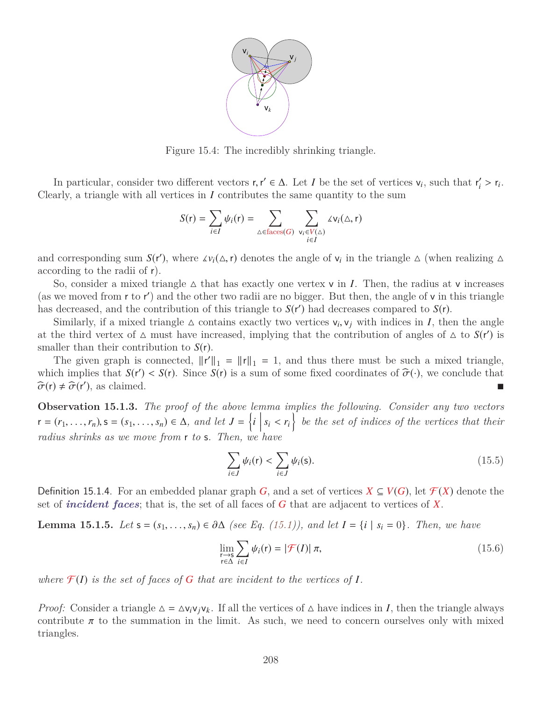

Figure 15.4: The incredibly shrinking triangle.

In particular, consider two different vectors  $\mathbf{r}, \mathbf{r}' \in \Delta$ . Let *I* be the set of vertices  $v_i$ , such that  $\mathbf{r}'_i$ <br>or the set of vertices in *I* contributes the same quantity to the sum  $i' > r_i$ . Clearly, a triangle with all vertices in *I* contributes the same quantity to the sum

$$
S(r) = \sum_{i \in I} \psi_i(r) = \sum_{\Delta \in \text{faces}(G)} \sum_{\substack{\mathsf{v}_i \in V(\Delta) \\ i \in I}} \Delta \mathsf{v}_i(\Delta, r)
$$

and corresponding sum  $S(r')$ , where  $\mathcal{L}v_i(\Delta, r)$  denotes the angle of  $v_i$  in the triangle  $\Delta$  (when realizing  $\Delta$  according to the radii of r) according to the radii of r).

So, consider a mixed triangle  $\Delta$  that has exactly one vertex  $\mathsf{v}$  in *I*. Then, the radius at  $\mathsf{v}$  increases (as we moved from  $r$  to  $r'$ ) and the other two radii are no bigger. But then, the angle of  $v$  in this triangle has decreased, and the contribution of this triangle to  $S(r')$  had decreases compared to  $S(r)$ .

Similarly, if a mixed triangle  $\Delta$  contains exactly two vertices  $v_i$ ,  $v_j$  with indices in *I*, then the angle<br>the third vertex of  $\Delta$  must have increased implying that the contribution of angles of  $\Delta$  to  $S(r')$  is at the third vertex of  $\Delta$  must have increased, implying that the contribution of angles of  $\Delta$  to  $S(r')$  is smaller than their contribution to *S*(r).

The given graph is connected,  $||\mathbf{r}'||_1 = ||\mathbf{r}||_1 = 1$ , and thus there must be such a mixed triangle, which implies that  $S(r') < S(r)$ . Since  $S(r)$  is a sum of some fixed coordinates of  $\hat{\sigma}(\cdot)$ , we conclude that  $\hat{\sigma}(r) \neq \hat{\sigma}(r')$  as claimed  $\widehat{\sigma}(\mathsf{r}) \neq \widehat{\sigma}(\mathsf{r}')$  $\blacksquare$ ), as claimed.

**Observation 15.1.3.** *The proof of the above lemma implies the following. Consider any two vectors*  $\mathbf{r} = (r_1, \ldots, r_n), \mathbf{s} = (s_1, \ldots, s_n) \in \Delta$ , and let  $J = \{i \mid s_i < r_i\}$  be the set of indices of the vertices that their *radius shrinks as we move from* r *to* s*. Then, we have*

<span id="page-5-0"></span>
$$
\sum_{i \in J} \psi_i(\mathbf{r}) < \sum_{i \in J} \psi_i(\mathbf{s}).\tag{15.5}
$$

<span id="page-5-3"></span>Definition 15.1.4. For an embedded planar graph *G*, and a set of vertices  $X \subseteq V(G)$ , let  $\mathcal{F}(X)$  denote the set of *incident faces*; that is, the set of all faces of *G* that are adjacent to vertices of *X*.

<span id="page-5-2"></span>**Lemma 15.1.5.** *Let*  $s = (s_1, ..., s_n) \in \partial \Delta$  *(see Eq. [\(15.1\)](#page-4-1)), and let*  $I = \{i \mid s_i = 0\}$ *. Then, we have* 

<span id="page-5-1"></span>
$$
\lim_{\substack{r \to s \\ r \in \Delta}} \sum_{i \in I} \psi_i(r) = |\mathcal{F}(I)| \pi,
$$
\n(15.6)

where  $\mathcal{F}(I)$  *is the set of faces of G that are incident to the vertices of I.* 

*Proof:* Consider a triangle  $\Delta = \Delta v_i v_j v_k$ . If all the vertices of  $\Delta$  have indices in *I*, then the triangle always contribute  $\pi$  to the summation in the limit. As such, we need to concern ourselves only with mixed triangles.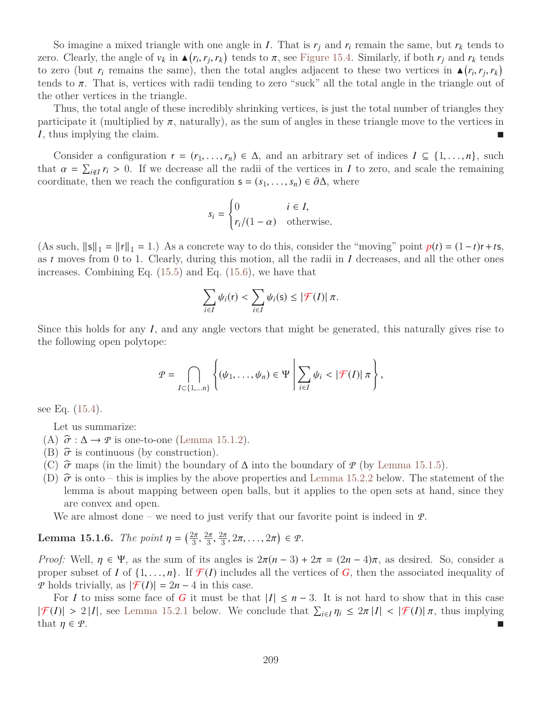So imagine a mixed triangle with one angle in *I*. That is  $r_i$  and  $r_i$  remain the same, but  $r_k$  tends to zero. Clearly, the angle of  $v_k$  in  $\triangle(r_i, r_j, r_k)$  tends to  $\pi$ , see [Figure 15.4.](#page-9-1) Similarly, if both  $r_j$  and  $r_k$  tends to zero. (but *r*<sub>i</sub> remains the same) then the total angles adjacent to these two vertices in  $\triangle(r,$ to zero (but  $r_i$  remains the same), then the total angles adjacent to these two vertices in  $\blacktriangle(r_i, r_j, r_k)$ <br>tends to  $\pi$ . That is vertices with radii tending to zero "suck" all the total angle in the triangle out of tends to  $\pi$ . That is, vertices with radii tending to zero "suck" all the total angle in the triangle out of the other vertices in the triangle.

Thus, the total angle of these incredibly shrinking vertices, is just the total number of triangles they participate it (multiplied by  $\pi$ , naturally), as the sum of angles in these triangle move to the vertices in *I*, thus implying the claim.

Consider a configuration  $r = (r_1, \ldots, r_n) \in \Delta$ , and an arbitrary set of indices  $I \subseteq \{1, \ldots, n\}$ , such that  $\alpha = \sum_{i \notin I} r_i > 0$ . If we decrease all the radii of the vertices in *I* to zero, and scale the remaining coordinate then we reach the configuration  $\epsilon = (s_1, \ldots, s_n) \in \partial \Lambda$  where coordinate, then we reach the configuration  $\mathbf{s} = (s_1, \ldots, s_n) \in \partial \Delta$ , where

$$
s_i = \begin{cases} 0 & i \in I, \\ r_i/(1-\alpha) & \text{otherwise.} \end{cases}
$$

(As such,  $\|\mathbf{s}\|_1 = \|\mathbf{r}\|_1 = 1$ .) As a concrete way to do this, consider the "moving" point  $p(t) = (1-t)\mathbf{r} + t\mathbf{s}$ , as *t* moves from 0 to 1. Clearly, during this motion, all the radii in *I* decreases, and all the other ones increases. Combining Eq. [\(15.5\)](#page-5-0) and Eq. [\(15.6\)](#page-5-1), we have that

$$
\sum_{i\in I}\psi_i(\mathsf{r})<\sum_{i\in I}\psi_i(\mathsf{s})\leq |\mathcal{F}(I)|\,\pi.
$$

Since this holds for any *I*, and any angle vectors that might be generated, this naturally gives rise to the following open polytope:

<span id="page-6-0"></span>
$$
\mathcal{P} = \bigcap_{I \subset \{1,\ldots n\}} \left\{ (\psi_1,\ldots,\psi_n) \in \Psi \middle| \sum_{i \in I} \psi_i < |\mathcal{F}(I)| \pi \right\},\
$$

see Eq. [\(15.4\)](#page-4-2).

Let us summarize:

- (A)  $\hat{\sigma} : \Delta \to \mathcal{P}$  is one-to-one [\(Lemma 15.1.2\)](#page-4-3).
- (B)  $\hat{\sigma}$  is continuous (by construction).
- (C)  $\hat{\sigma}$  maps (in the limit) the boundary of  $\Delta$  into the boundary of  $\varphi$  (by [Lemma 15.1.5\)](#page-5-2).
- (D)  $\hat{\sigma}$  is onto this is implies by the above properties and [Lemma 15.2.2](#page-7-0) below. The statement of the lemma is about mapping between open balls, but it applies to the open sets at hand, since they are convex and open.

We are almost done – we need to just verify that our favorite point is indeed in  $\mathcal{P}$ .

**Lemma 15.1.6.** *The point*  $\eta = \left(\frac{2\pi}{3}, \frac{2\pi}{3}, \frac{2\pi}{3}, 2\pi, ..., 2\pi\right) \in \mathcal{P}$ .

*Proof:* Well,  $\eta \in \Psi$ , as the sum of its angles is  $2\pi(n-3) + 2\pi = (2n-4)\pi$ , as desired. So, consider a proper subset of *I* of  $\{1, \ldots, n\}$ . If  $\mathcal{F}(I)$  includes all the vertices of *G*, then the associated inequality of *P* holds trivially, as  $|\mathcal{F}(I)| = 2n - 4$  in this case.

For *I* to miss some face of *G* it must be that  $|I| \leq n-3$ . It is not hard to show that in this case  $|\mathcal{F}(I)| > 2|I|$ , see [Lemma 15.2.1](#page-7-1) below. We conclude that  $\sum_{i \in I} \eta_i \leq 2\pi |I| < |\mathcal{F}(I)| \pi$ , thus implying that  $n \in \mathcal{P}$ that  $\eta \in \mathcal{P}$ .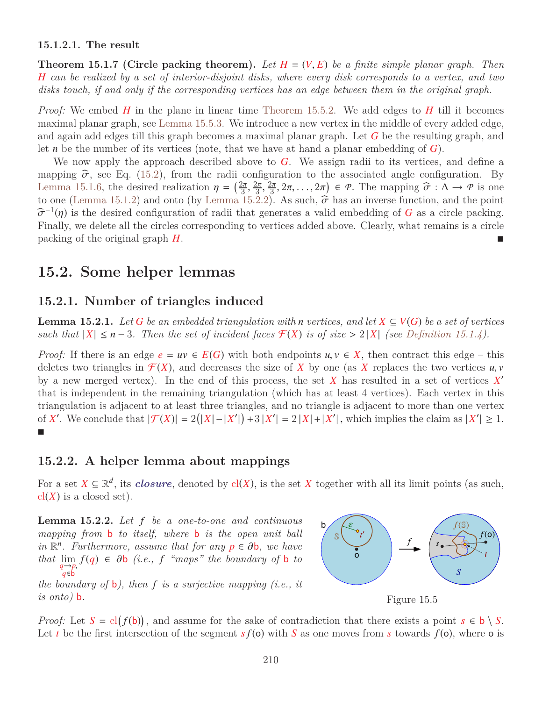#### **15.1.2.1. The result**

**Theorem 15.1.7 (Circle packing theorem).** Let  $H = (V, E)$  be a finite simple planar graph. Then *H can be realized by a set of interior-disjoint disks, where every disk corresponds to a vertex, and two disks touch, if and only if the corresponding vertices has an edge between them in the original graph.*

*Proof:* We embed *H* in the plane in linear time [Theorem 15.5.2.](#page-9-2) We add edges to *H* till it becomes maximal planar graph, see [Lemma 15.5.3.](#page-9-3) We introduce a new vertex in the middle of every added edge, and again add edges till this graph becomes a maximal planar graph. Let *G* be the resulting graph, and let *n* be the number of its vertices (note, that we have at hand a planar embedding of *G*).

We now apply the approach described above to *G*. We assign radii to its vertices, and define a mapping  $\hat{\sigma}$ , see Eq. [\(15.2\)](#page-4-4), from the radii configuration to the associated angle configuration. By [Lemma 15.1.6,](#page-6-0) the desired realization  $\eta = \left(\frac{2\pi}{3}, \frac{2\pi}{3}, \frac{2\pi}{3}, 2\pi, \ldots, 2\pi\right) \in \mathcal{P}$ . The mapping  $\hat{\sigma} : \Delta \to \mathcal{P}$  is one<br>to one (Lemma 15.1.2) and onto (by Lemma 15.2.2). As such  $\hat{\sigma}$  has an inverse func to one [\(Lemma 15.1.2\)](#page-4-3) and onto (by [Lemma 15.2.2\)](#page-7-0). As such,  $\hat{\sigma}$  has an inverse function, and the point  $\hat{\sigma}^{-1}(n)$  is the desired configuration of radii that generates a valid embedding of G as a circle packing bσ Finally, we delete all the circles corresponding to vertices added above. Clearly, what remains is a circle  $\sigma^{-1}(\eta)$  is the desired configuration of radii that generates a valid embedding of *G* as a circle packing. packing of the original graph *H*.

## **15.2. Some helper lemmas**

#### **15.2.1. Number of triangles induced**

<span id="page-7-1"></span>**Lemma 15.2.1.** *Let G be an embedded triangulation with n vertices, and let*  $X \subseteq V(G)$  *be a set of vertices such that*  $|X| \leq n-3$ *. Then the set of incident faces*  $\mathcal{F}(X)$  *is of size*  $> 2 |X|$  *(see [Definition 15.1.4\)](#page-5-3).* 

*Proof:* If there is an edge  $e = uv \in E(G)$  with both endpoints  $u, v \in X$ , then contract this edge – this deletes two triangles in  $\mathcal{F}(X)$ , and decreases the size of X by one (as X replaces the two vertices  $u, v$ by a new merged vertex). In the end of this process, the set  $X$  has resulted in a set of vertices  $X'$ that is independent in the remaining triangulation (which has at least 4 vertices). Each vertex in this triangulation is adjacent to at least three triangles, and no triangle is adjacent to more than one vertex of *X'*. We conclude that  $|\mathcal{F}(X)| = 2(|X| - |X'|) + 3 |X'| = 2 |X| + |X'|$ , which implies the claim as  $|X'| \ge 1$ . | г

#### **15.2.2. A helper lemma about mappings**

For a set  $X \subseteq \mathbb{R}^d$ , its *closure*, denoted by cl(*X*), is the set *X* together with all its limit points (as such,  $cl(X)$  is a closed set).

<span id="page-7-0"></span>**Lemma 15.2.2.** *Let f be a one-to-one and continuous mapping from* **b** *to itself, where* **b** *is the open unit ball in*  $\mathbb{R}^n$ *. Furthermore, assume that for any*  $p \in \partial b$ *, we have*<br>*that* lim  $f(a) \in \partial b$  *(i.e., f. "mans", the houndary of* b to *that*  $\lim_{q \to p} f(q) \in \partial b$  *(i.e., f "maps" the boundary of* **b** *to <sup>q</sup>*→*p*, *q*∈b

*the boundary of* b*), then f is a surjective mapping (i.e., it is onto)* b*.*



Figure 15.5

*Proof:* Let  $S = cl(f(b))$ , and assume for the sake of contradiction that there exists a point  $s \in b \setminus S$ . Let *t* be the first intersection of the segment  $s f(\mathbf{o})$  with *S* as one moves from *s* towards  $f(\mathbf{o})$ , where **o** is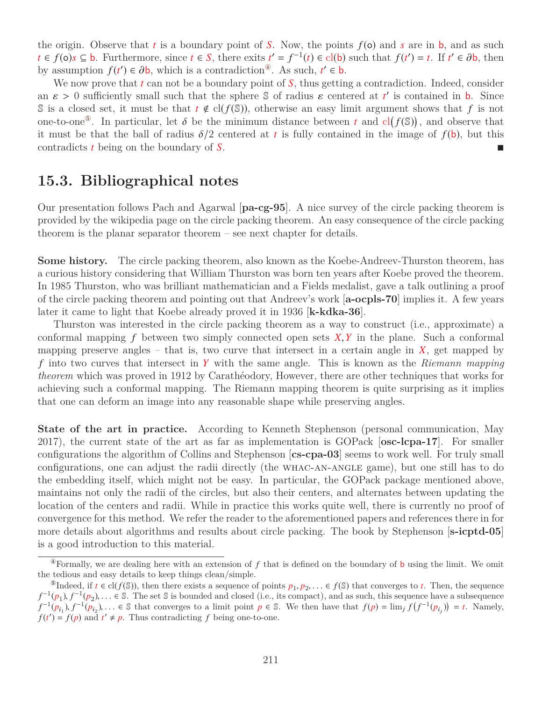the origin. Observe that *t* is a boundary point of *S*. Now, the points  $f(\mathbf{o})$  and *s* are in **b**, and as such *t* ∈ *f*(o)*s* ⊆ **b**. Furthermore, since *t* ∈ *S*, there exits *t'* = *f*<sup>-1</sup>(*t*) ∈ cl(b) such that *f*(*t'*) = *t*. If *t'* ∈ ∂b, then<br>by assumption *f*(*t'*) ∈ ∂b, which is a contradiction<sup>®</sup> As such *t'* ∈ b by assumption  $f(t') \in \partial b$ , which is a contradiction<sup>®</sup>. As such,  $t' \in b$ .<br>We now prove that *t* can not be a boundary point of S, thus getting

We now prove that *t* can not be a boundary point of *S*, thus getting a contradiction. Indeed, consider an  $\varepsilon > 0$  sufficiently small such that the sphere  $\mathcal S$  of radius  $\varepsilon$  centered at *t'* is contained in **b**. Since  $\mathcal S$  is a closed set it must be that  $t \notin cl(f(\mathcal S))$  otherwise an easy limit argument shows that f is n S is a closed set, it must be that  $t \notin cl(f(\mathbb{S}))$ , otherwise an easy limit argument shows that f is not one-to-one<sup>®</sup>. In particular, let  $\delta$  be the minimum distance between *t* and cl( $f$ ( $\delta$ )), and observe that it must be that the ball of radius  $\delta/2$  centered at *t* is fully contained in the image of  $f$ (**b**) but this it must be that the ball of radius  $\delta/2$  centered at *t* is fully contained in the image of  $f(\mathbf{b})$ , but this contradicts *t* being on the boundary of S. contradicts *t* being on the boundary of *S*.

## **15.3. Bibliographical notes**

Our presentation follows Pach and Agarwal [**pa-cg-95**]. A nice survey of the circle packing theorem is provided by the wikipedia page on the circle packing theorem. An easy consequence of the circle packing theorem is the planar separator theorem – see next chapter for details.

**Some history.** The circle packing theorem, also known as the Koebe-Andreev-Thurston theorem, has a curious history considering that William Thurston was born ten years after Koebe proved the theorem. In 1985 Thurston, who was brilliant mathematician and a Fields medalist, gave a talk outlining a proof of the circle packing theorem and pointing out that Andreev's work [**a-ocpls-70**] implies it. A few years later it came to light that Koebe already proved it in 1936 [**k-kdka-36**].

Thurston was interested in the circle packing theorem as a way to construct (i.e., approximate) a conformal mapping *<sup>f</sup>* between two simply connected open sets *<sup>X</sup>*,*<sup>Y</sup>* in the plane. Such a conformal mapping preserve angles – that is, two curve that intersect in a certain angle in  $\overline{X}$ , get mapped by *f* into two curves that intersect in *Y* with the same angle. This is known as the *Riemann mapping theorem* which was proved in 1912 by Carathéodory, However, there are other techniques that works for achieving such a conformal mapping. The Riemann mapping theorem is quite surprising as it implies that one can deform an image into any reasonable shape while preserving angles.

**State of the art in practice.** According to Kenneth Stephenson (personal communication, May 2017), the current state of the art as far as implementation is GOPack [**osc-lcpa-17**]. For smaller configurations the algorithm of Collins and Stephenson [**cs-cpa-03**] seems to work well. For truly small configurations, one can adjust the radii directly (the whac-an-angle game), but one still has to do the embedding itself, which might not be easy. In particular, the GOPack package mentioned above, maintains not only the radii of the circles, but also their centers, and alternates between updating the location of the centers and radii. While in practice this works quite well, there is currently no proof of convergence for this method. We refer the reader to the aforementioned papers and references there in for more details about algorithms and results about circle packing. The book by Stephenson [**s-icptd-05**] is a good introduction to this material.

<span id="page-8-0"></span> $\Phi$ Formally, we are dealing here with an extension of f that is defined on the boundary of **b** using the limit. We omit the tedious and easy details to keep things clean/simple.

<span id="page-8-1"></span><sup>©</sup>Indeed, if  $t \in \text{cl}(f(\mathbb{S}))$ , then there exists a sequence of points  $p_1, p_2, \ldots \in f(\mathbb{S})$  that converges to *t*. Then, the sequence  $(p_1)$   $f^{-1}(p_2)$   $\in \mathbb{S}$ . The set  $\mathbb{S}$  is bounded and closed (i.e., its compa  $f^{-1}(p_1), f^{-1}(p_2), \ldots \in \mathbb{S}$ . The set  $\mathbb{S}$  is bounded and closed (i.e., its compact), and as such, this sequence have a subsequence  $f^{-1}(p_1), f^{-1}(p_2), \ldots \in \mathbb{S}$  that converges to a limit point  $p \in \mathbb{S}$ . We then h  $f^{-1}(p_{i_1}), f^{-1}(p_{i_2}), \ldots \in \mathbb{S}$  that converges to a limit point  $p \in \mathbb{S}$ . We then have that  $f(p) = \lim_{j} f(f^{-1}(p_{i_j})) = t$ . Namely,  $f(f') - f(p)$  and  $f' \neq p$ . Thus contradicting f being one-to-one.  $f(t') = f(p)$  and  $t' \neq p$ . Thus contradicting f being one-to-one.